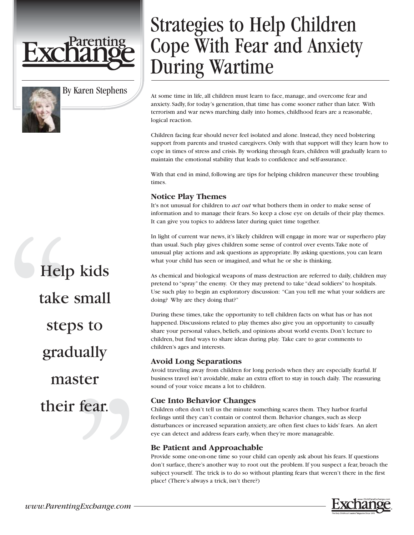

By Karen Stephens

# Help kids take small steps to gradually master their fear.

## Strategies to Help Children Cope With Fear and Anxiety During Wartime

At some time in life, all children must learn to face, manage, and overcome fear and anxiety. Sadly, for today's generation, that time has come sooner rather than later. With terrorism and war news marching daily into homes, childhood fears are a reasonable, logical reaction.

Children facing fear should never feel isolated and alone. Instead, they need bolstering support from parents and trusted caregivers. Only with that support will they learn how to cope in times of stress and crisis. By working through fears, children will gradually learn to maintain the emotional stability that leads to confidence and self-assurance.

With that end in mind, following are tips for helping children maneuver these troubling times.

#### **Notice Play Themes**

It's not unusual for children to *act out* what bothers them in order to make sense of information and to manage their fears. So keep a close eye on details of their play themes. It can give you topics to address later during quiet time together.

In light of current war news, it's likely children will engage in more war or superhero play than usual. Such play gives children some sense of control over events.Take note of unusual play actions and ask questions as appropriate. By asking questions, you can learn what your child has seen or imagined, and what he or she is thinking.

As chemical and biological weapons of mass destruction are referred to daily, children may pretend to "spray" the enemy. Or they may pretend to take "dead soldiers" to hospitals. Use such play to begin an exploratory discussion: "Can you tell me what your soldiers are doing? Why are they doing that?"

During these times, take the opportunity to tell children facts on what has or has not happened. Discussions related to play themes also give you an opportunity to casually share your personal values, beliefs, and opinions about world events. Don't lecture to children, but find ways to share ideas during play. Take care to gear comments to children's ages and interests.

#### **Avoid Long Separations**

Avoid traveling away from children for long periods when they are especially fearful. If business travel isn't avoidable, make an extra effort to stay in touch daily. The reassuring sound of your voice means a lot to children.

#### **Cue Into Behavior Changes**

Children often don't tell us the minute something scares them. They harbor fearful feelings until they can't contain or control them. Behavior changes, such as sleep disturbances or increased separation anxiety, are often first clues to kids' fears. An alert eye can detect and address fears early, when they're more manageable.

#### **Be Patient and Approachable**

Provide some one-on-one time so your child can openly ask about his fears. If questions don't surface, there's another way to root out the problem. If you suspect a fear, broach the subject yourself. The trick is to do so without planting fears that weren't there in the first place! (There's always a trick, isn't there?)